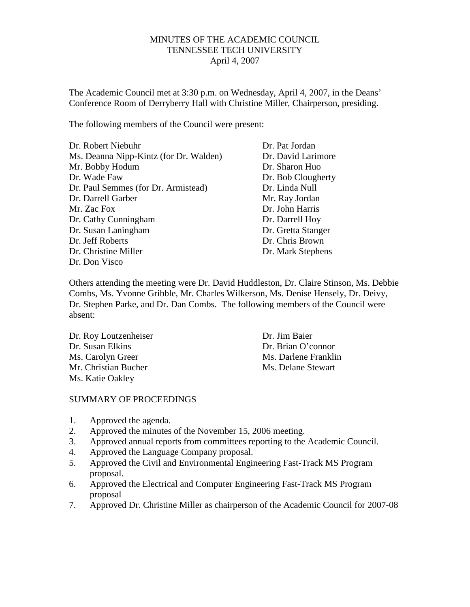## MINUTES OF THE ACADEMIC COUNCIL TENNESSEE TECH UNIVERSITY April 4, 2007

The Academic Council met at 3:30 p.m. on Wednesday, April 4, 2007, in the Deans' Conference Room of Derryberry Hall with Christine Miller, Chairperson, presiding.

The following members of the Council were present:

| Dr. Robert Niebuhr                     | Dr. Pat Jordan     |
|----------------------------------------|--------------------|
| Ms. Deanna Nipp-Kintz (for Dr. Walden) | Dr. David Larimore |
| Mr. Bobby Hodum                        | Dr. Sharon Huo     |
| Dr. Wade Faw                           | Dr. Bob Clougherty |
| Dr. Paul Semmes (for Dr. Armistead)    | Dr. Linda Null     |
| Dr. Darrell Garber                     | Mr. Ray Jordan     |
| Mr. Zac Fox                            | Dr. John Harris    |
| Dr. Cathy Cunningham                   | Dr. Darrell Hoy    |
| Dr. Susan Laningham                    | Dr. Gretta Stanger |
| Dr. Jeff Roberts                       | Dr. Chris Brown    |
| Dr. Christine Miller                   | Dr. Mark Stephens  |
| Dr. Don Visco                          |                    |

Others attending the meeting were Dr. David Huddleston, Dr. Claire Stinson, Ms. Debbie Combs, Ms. Yvonne Gribble, Mr. Charles Wilkerson, Ms. Denise Hensely, Dr. Deivy, Dr. Stephen Parke, and Dr. Dan Combs. The following members of the Council were absent:

| Dr. Roy Loutzenheiser | Dr. Jim Baier        |
|-----------------------|----------------------|
| Dr. Susan Elkins      | Dr. Brian O'connor   |
| Ms. Carolyn Greer     | Ms. Darlene Franklin |
| Mr. Christian Bucher  | Ms. Delane Stewart   |
| Ms. Katie Oakley      |                      |

## SUMMARY OF PROCEEDINGS

- 1. Approved the agenda.
- 2. Approved the minutes of the November 15, 2006 meeting.
- 3. Approved annual reports from committees reporting to the Academic Council.
- 4. Approved the Language Company proposal.
- 5. Approved the Civil and Environmental Engineering Fast-Track MS Program proposal.
- 6. Approved the Electrical and Computer Engineering Fast-Track MS Program proposal
- 7. Approved Dr. Christine Miller as chairperson of the Academic Council for 2007-08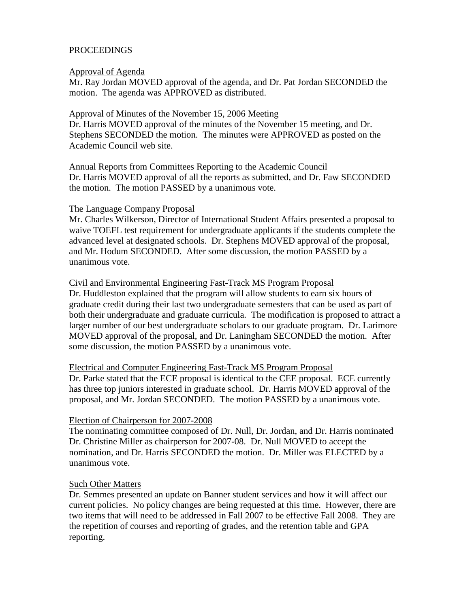# PROCEEDINGS

### Approval of Agenda

Mr. Ray Jordan MOVED approval of the agenda, and Dr. Pat Jordan SECONDED the motion. The agenda was APPROVED as distributed.

### Approval of Minutes of the November 15, 2006 Meeting

Dr. Harris MOVED approval of the minutes of the November 15 meeting, and Dr. Stephens SECONDED the motion. The minutes were APPROVED as posted on the Academic Council web site.

Annual Reports from Committees Reporting to the Academic Council Dr. Harris MOVED approval of all the reports as submitted, and Dr. Faw SECONDED the motion. The motion PASSED by a unanimous vote.

### The Language Company Proposal

Mr. Charles Wilkerson, Director of International Student Affairs presented a proposal to waive TOEFL test requirement for undergraduate applicants if the students complete the advanced level at designated schools. Dr. Stephens MOVED approval of the proposal, and Mr. Hodum SECONDED. After some discussion, the motion PASSED by a unanimous vote.

## Civil and Environmental Engineering Fast-Track MS Program Proposal

Dr. Huddleston explained that the program will allow students to earn six hours of graduate credit during their last two undergraduate semesters that can be used as part of both their undergraduate and graduate curricula. The modification is proposed to attract a larger number of our best undergraduate scholars to our graduate program. Dr. Larimore MOVED approval of the proposal, and Dr. Laningham SECONDED the motion. After some discussion, the motion PASSED by a unanimous vote.

#### Electrical and Computer Engineering Fast-Track MS Program Proposal

Dr. Parke stated that the ECE proposal is identical to the CEE proposal. ECE currently has three top juniors interested in graduate school. Dr. Harris MOVED approval of the proposal, and Mr. Jordan SECONDED. The motion PASSED by a unanimous vote.

#### Election of Chairperson for 2007-2008

The nominating committee composed of Dr. Null, Dr. Jordan, and Dr. Harris nominated Dr. Christine Miller as chairperson for 2007-08. Dr. Null MOVED to accept the nomination, and Dr. Harris SECONDED the motion. Dr. Miller was ELECTED by a unanimous vote.

#### Such Other Matters

Dr. Semmes presented an update on Banner student services and how it will affect our current policies. No policy changes are being requested at this time. However, there are two items that will need to be addressed in Fall 2007 to be effective Fall 2008. They are the repetition of courses and reporting of grades, and the retention table and GPA reporting.